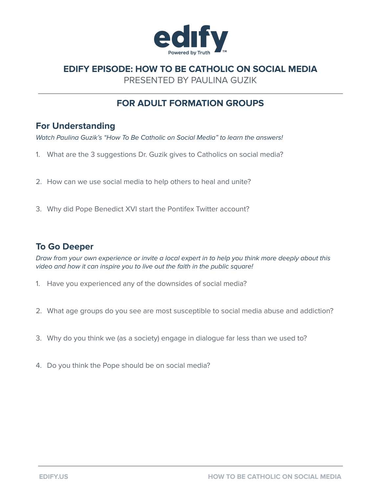

# **EDIFY EPISODE: HOW TO BE CATHOLIC ON SOCIAL MEDIA**

PRESENTED BY PAULINA GUZIK

# **FOR ADULT FORMATION GROUPS**

## **For Understanding**

Watch Paulina Guzik's "How To Be Catholic on Social Media" to learn the answers!

- 1. What are the 3 suggestions Dr. Guzik gives to Catholics on social media?
- 2. How can we use social media to help others to heal and unite?
- 3. Why did Pope Benedict XVI start the Pontifex Twitter account?

### **To Go Deeper**

Draw from your own experience or invite a local expert in to help you think more deeply about this video and how it can inspire you to live out the faith in the public square!

- 1. Have you experienced any of the downsides of social media?
- 2. What age groups do you see are most susceptible to social media abuse and addiction?
- 3. Why do you think we (as a society) engage in dialogue far less than we used to?
- 4. Do you think the Pope should be on social media?